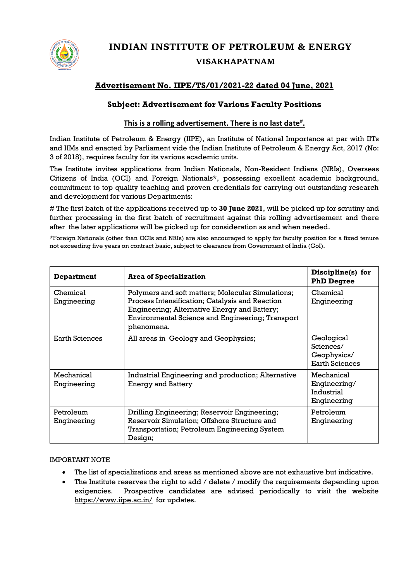

# **INDIAN INSTITUTE OF PETROLEUM & ENERGY VISAKHAPATNAM**

# **Advertisement No. IIPE/TS/01/2021-22 dated 04 June, 2021**

# **Subject: Advertisement for Various Faculty Positions**

## **This is a rolling advertisement. There is no last date# .**

Indian Institute of Petroleum & Energy (IIPE), an Institute of National Importance at par with IITs and IIMs and enacted by Parliament vide the Indian Institute of Petroleum & Energy Act, 2017 (No: 3 of 2018), requires faculty for its various academic units.

The Institute invites applications from Indian Nationals, Non-Resident Indians (NRIs), Overseas Citizens of India (OCI) and Foreign Nationals\*, possessing excellent academic background, commitment to top quality teaching and proven credentials for carrying out outstanding research and development for various Departments:

# The first batch of the applications received up to **30 June 2021**, will be picked up for scrutiny and further processing in the first batch of recruitment against this rolling advertisement and there after the later applications will be picked up for consideration as and when needed.

\*Foreign Nationals (other than OCIs and NRIs) are also encouraged to apply for faculty position for a fixed tenure not exceeding five years on contract basic, subject to clearance from Government of India (GoI).

| Department                | <b>Area of Specialization</b>                                                                                                                                                                                          | Discipline(s) for<br><b>PhD Degree</b>                          |
|---------------------------|------------------------------------------------------------------------------------------------------------------------------------------------------------------------------------------------------------------------|-----------------------------------------------------------------|
| Chemical<br>Engineering   | Polymers and soft matters; Molecular Simulations;<br>Process Intensification; Catalysis and Reaction<br>Engineering; Alternative Energy and Battery;<br>Environmental Science and Engineering; Transport<br>phenomena. | Chemical<br>Engineering                                         |
| <b>Earth Sciences</b>     | All areas in Geology and Geophysics;                                                                                                                                                                                   | Geological<br>Sciences/<br>Geophysics/<br><b>Earth Sciences</b> |
| Mechanical<br>Engineering | Industrial Engineering and production; Alternative<br><b>Energy and Battery</b>                                                                                                                                        | Mechanical<br>Engineering/<br>Industrial<br>Engineering         |
| Petroleum<br>Engineering  | Drilling Engineering; Reservoir Engineering;<br>Reservoir Simulation; Offshore Structure and<br>Transportation; Petroleum Engineering System<br>Design;                                                                | Petroleum<br>Engineering                                        |

### IMPORTANT NOTE

- The list of specializations and areas as mentioned above are not exhaustive but indicative.
- The Institute reserves the right to add / delete / modify the requirements depending upon exigencies. Prospective candidates are advised periodically to visit the website <https://www.iipe.ac.in/> for updates.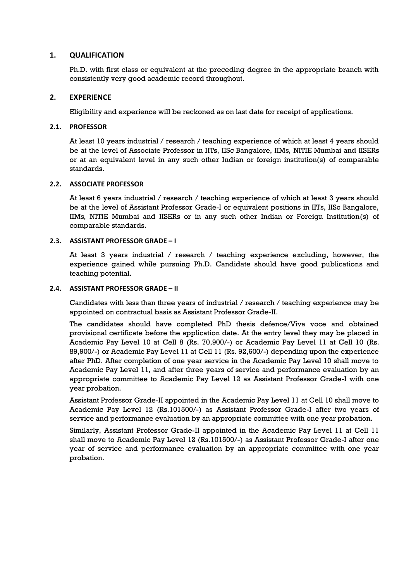### **1. QUALIFICATION**

Ph.D. with first class or equivalent at the preceding degree in the appropriate branch with consistently very good academic record throughout.

### **2. EXPERIENCE**

Eligibility and experience will be reckoned as on last date for receipt of applications.

### **2.1. PROFESSOR**

At least 10 years industrial / research / teaching experience of which at least 4 years should be at the level of Associate Professor in IITs, IISc Bangalore, IIMs, NITIE Mumbai and IISERs or at an equivalent level in any such other Indian or foreign institution(s) of comparable standards.

### **2.2. ASSOCIATE PROFESSOR**

At least 6 years industrial / research / teaching experience of which at least 3 years should be at the level of Assistant Professor Grade-I or equivalent positions in IITs, IISc Bangalore, IIMs, NITIE Mumbai and IISERs or in any such other Indian or Foreign Institution(s) of comparable standards.

### **2.3. ASSISTANT PROFESSOR GRADE – I**

At least 3 years industrial / research / teaching experience excluding, however, the experience gained while pursuing Ph.D. Candidate should have good publications and teaching potential.

### **2.4. ASSISTANT PROFESSOR GRADE – II**

Candidates with less than three years of industrial / research / teaching experience may be appointed on contractual basis as Assistant Professor Grade-II.

The candidates should have completed PhD thesis defence/Viva voce and obtained provisional certificate before the application date. At the entry level they may be placed in Academic Pay Level 10 at Cell 8 (Rs. 70,900/-) or Academic Pay Level 11 at Cell 10 (Rs. 89,900/-) or Academic Pay Level 11 at Cell 11 (Rs. 92,600/-) depending upon the experience after PhD. After completion of one year service in the Academic Pay Level 10 shall move to Academic Pay Level 11, and after three years of service and performance evaluation by an appropriate committee to Academic Pay Level 12 as Assistant Professor Grade-I with one year probation.

Assistant Professor Grade-II appointed in the Academic Pay Level 11 at Cell 10 shall move to Academic Pay Level 12 (Rs.101500/-) as Assistant Professor Grade-I after two years of service and performance evaluation by an appropriate committee with one year probation.

Similarly, Assistant Professor Grade-II appointed in the Academic Pay Level 11 at Cell 11 shall move to Academic Pay Level 12 (Rs.101500/-) as Assistant Professor Grade-I after one year of service and performance evaluation by an appropriate committee with one year probation.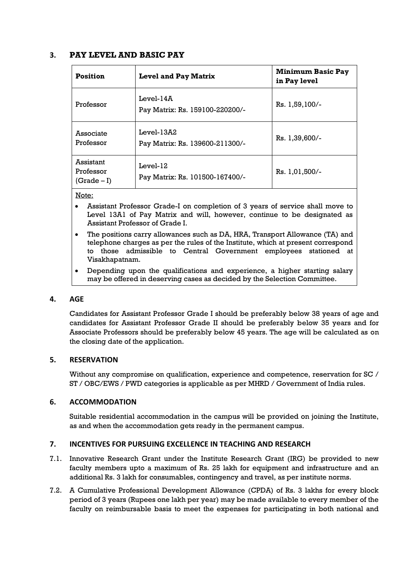### **3. PAY LEVEL AND BASIC PAY**

| <b>Position</b>                         | <b>Level and Pay Matrix</b>                    | <b>Minimum Basic Pay</b><br>in Pay level |
|-----------------------------------------|------------------------------------------------|------------------------------------------|
| Professor                               | $Level-14A$<br>Pay Matrix: Rs. 159100-220200/- | Rs. 1,59,100/-                           |
| Associate<br>Professor                  | Level-13A2<br>Pay Matrix: Rs. 139600-211300/-  | Rs. 1,39,600/-                           |
| Assistant<br>Professor<br>$(Grade - I)$ | $Level-12$<br>Pay Matrix: Rs. 101500-167400/-  | Rs. 1,01,500/-                           |

#### Note:

- Assistant Professor Grade-I on completion of 3 years of service shall move to Level 13A1 of Pay Matrix and will, however, continue to be designated as Assistant Professor of Grade I.
- The positions carry allowances such as DA, HRA, Transport Allowance (TA) and telephone charges as per the rules of the Institute, which at present correspond to those admissible to Central Government employees stationed at Visakhapatnam.
- Depending upon the qualifications and experience, a higher starting salary may be offered in deserving cases as decided by the Selection Committee.

### **4. AGE**

Candidates for Assistant Professor Grade I should be preferably below 38 years of age and candidates for Assistant Professor Grade II should be preferably below 35 years and for Associate Professors should be preferably below 45 years. The age will be calculated as on the closing date of the application.

### **5. RESERVATION**

Without any compromise on qualification, experience and competence, reservation for SC / ST / OBC/EWS / PWD categories is applicable as per MHRD / Government of India rules.

#### **6. ACCOMMODATION**

Suitable residential accommodation in the campus will be provided on joining the Institute, as and when the accommodation gets ready in the permanent campus.

### **7. INCENTIVES FOR PURSUING EXCELLENCE IN TEACHING AND RESEARCH**

- 7.1. Innovative Research Grant under the Institute Research Grant (IRG) be provided to new faculty members upto a maximum of Rs. 25 lakh for equipment and infrastructure and an additional Rs. 3 lakh for consumables, contingency and travel, as per institute norms.
- 7.2. A Cumulative Professional Development Allowance (CPDA) of Rs. 3 lakhs for every block period of 3 years (Rupees one lakh per year) may be made available to every member of the faculty on reimbursable basis to meet the expenses for participating in both national and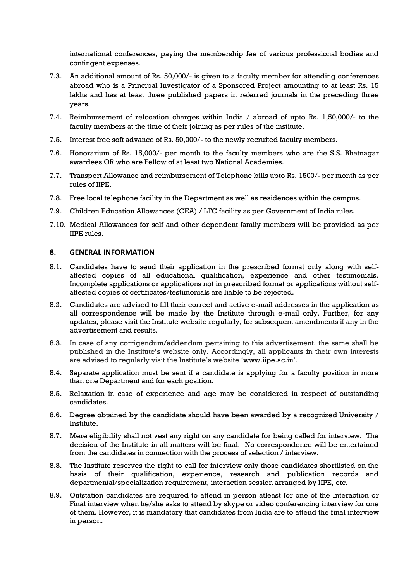international conferences, paying the membership fee of various professional bodies and contingent expenses.

- 7.3. An additional amount of Rs. 50,000/- is given to a faculty member for attending conferences abroad who is a Principal Investigator of a Sponsored Project amounting to at least Rs. 15 lakhs and has at least three published papers in referred journals in the preceding three years.
- 7.4. Reimbursement of relocation charges within India / abroad of upto Rs. 1,50,000/- to the faculty members at the time of their joining as per rules of the institute.
- 7.5. Interest free soft advance of Rs. 50,000/- to the newly recruited faculty members.
- 7.6. Honorarium of Rs. 15,000/- per month to the faculty members who are the S.S. Bhatnagar awardees OR who are Fellow of at least two National Academies.
- 7.7. Transport Allowance and reimbursement of Telephone bills upto Rs. 1500/- per month as per rules of IIPE.
- 7.8. Free local telephone facility in the Department as well as residences within the campus.
- 7.9. Children Education Allowances (CEA) / LTC facility as per Government of India rules.
- 7.10. Medical Allowances for self and other dependent family members will be provided as per IIPE rules.

#### **8. GENERAL INFORMATION**

- 8.1. Candidates have to send their application in the prescribed format only along with selfattested copies of all educational qualification, experience and other testimonials. Incomplete applications or applications not in prescribed format or applications without selfattested copies of certificates/testimonials are liable to be rejected.
- 8.2. Candidates are advised to fill their correct and active e-mail addresses in the application as all correspondence will be made by the Institute through e-mail only. Further, for any updates, please visit the Institute website regularly, for subsequent amendments if any in the advertisement and results.
- 8.3. In case of any corrigendum/addendum pertaining to this advertisement, the same shall be published in the Institute's website only. Accordingly, all applicants in their own interests are advised to regularly visit the Institute's website '[www.iipe.ac.in](http://www.iipe.ac.in/)'.
- 8.4. Separate application must be sent if a candidate is applying for a faculty position in more than one Department and for each position.
- 8.5. Relaxation in case of experience and age may be considered in respect of outstanding candidates.
- 8.6. Degree obtained by the candidate should have been awarded by a recognized University / Institute.
- 8.7. Mere eligibility shall not vest any right on any candidate for being called for interview. The decision of the Institute in all matters will be final. No correspondence will be entertained from the candidates in connection with the process of selection / interview.
- 8.8. The Institute reserves the right to call for interview only those candidates shortlisted on the basis of their qualification, experience, research and publication records and departmental/specialization requirement, interaction session arranged by IIPE, etc.
- 8.9. Outstation candidates are required to attend in person atleast for one of the Interaction or Final interview when he/she asks to attend by skype or video conferencing interview for one of them. However, it is mandatory that candidates from India are to attend the final interview in person.